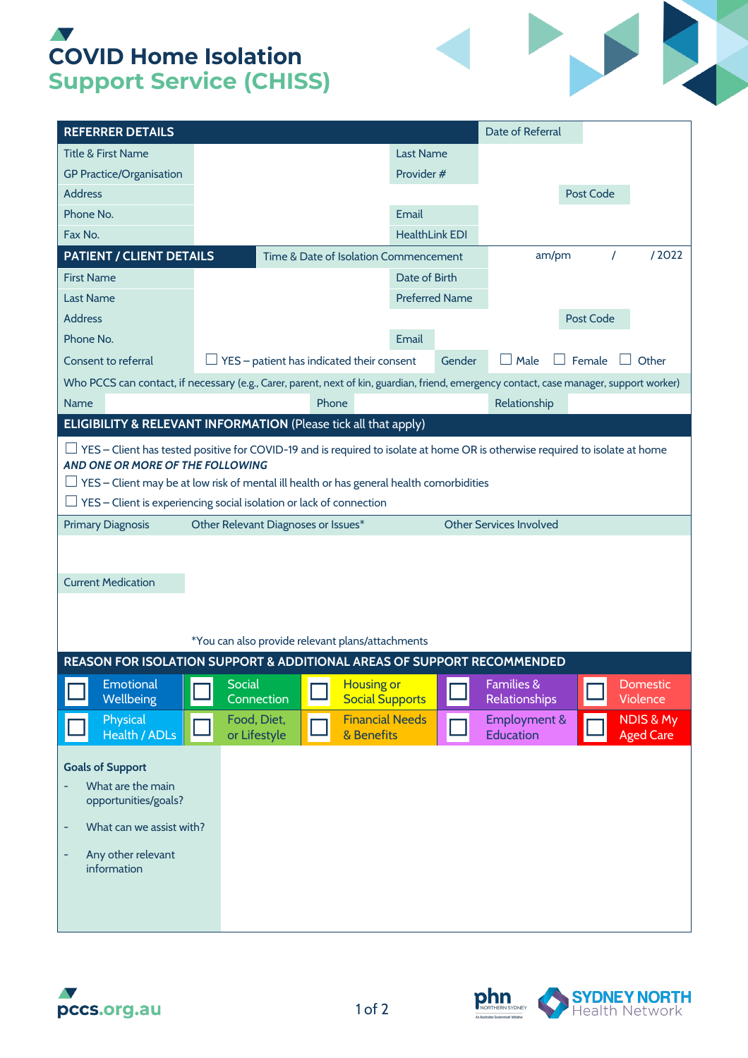## **V COVID Home Isolation Support Service (CHISS)**

| <b>REFERRER DETAILS</b>                                                                                                                                                                                                                                                                                                                           |                                                  |                                                   |                                       |                                             |                       |        | Date of Referral                              |           |       |                                          |  |
|---------------------------------------------------------------------------------------------------------------------------------------------------------------------------------------------------------------------------------------------------------------------------------------------------------------------------------------------------|--------------------------------------------------|---------------------------------------------------|---------------------------------------|---------------------------------------------|-----------------------|--------|-----------------------------------------------|-----------|-------|------------------------------------------|--|
| <b>Title &amp; First Name</b>                                                                                                                                                                                                                                                                                                                     |                                                  |                                                   |                                       |                                             | <b>Last Name</b>      |        |                                               |           |       |                                          |  |
| <b>GP Practice/Organisation</b>                                                                                                                                                                                                                                                                                                                   |                                                  |                                                   |                                       | Provider #                                  |                       |        |                                               |           |       |                                          |  |
| <b>Address</b>                                                                                                                                                                                                                                                                                                                                    |                                                  |                                                   |                                       |                                             |                       |        |                                               | Post Code |       |                                          |  |
| Phone No.                                                                                                                                                                                                                                                                                                                                         |                                                  |                                                   |                                       |                                             |                       | Email  |                                               |           |       |                                          |  |
| Fax No.                                                                                                                                                                                                                                                                                                                                           |                                                  |                                                   |                                       |                                             | <b>HealthLink EDI</b> |        |                                               |           |       |                                          |  |
| PATIENT / CLIENT DETAILS                                                                                                                                                                                                                                                                                                                          |                                                  |                                                   | Time & Date of Isolation Commencement |                                             |                       | am/pm  |                                               | $\prime$  | /2022 |                                          |  |
| <b>First Name</b>                                                                                                                                                                                                                                                                                                                                 |                                                  |                                                   |                                       | Date of Birth                               |                       |        |                                               |           |       |                                          |  |
| <b>Last Name</b>                                                                                                                                                                                                                                                                                                                                  |                                                  |                                                   |                                       | <b>Preferred Name</b>                       |                       |        |                                               |           |       |                                          |  |
| <b>Address</b>                                                                                                                                                                                                                                                                                                                                    |                                                  |                                                   |                                       |                                             |                       |        |                                               | Post Code |       |                                          |  |
| Phone No.                                                                                                                                                                                                                                                                                                                                         |                                                  |                                                   |                                       |                                             | Email                 |        |                                               |           |       |                                          |  |
| Consent to referral                                                                                                                                                                                                                                                                                                                               |                                                  | $\perp$ YES – patient has indicated their consent |                                       |                                             |                       | Gender | Male                                          | Female    |       | Other                                    |  |
| Who PCCS can contact, if necessary (e.g., Carer, parent, next of kin, guardian, friend, emergency contact, case manager, support worker)                                                                                                                                                                                                          |                                                  |                                                   |                                       |                                             |                       |        |                                               |           |       |                                          |  |
| <b>Name</b>                                                                                                                                                                                                                                                                                                                                       | Phone                                            |                                                   |                                       |                                             |                       |        | Relationship                                  |           |       |                                          |  |
| <b>ELIGIBILITY &amp; RELEVANT INFORMATION (Please tick all that apply)</b>                                                                                                                                                                                                                                                                        |                                                  |                                                   |                                       |                                             |                       |        |                                               |           |       |                                          |  |
| $\Box$ YES – Client has tested positive for COVID-19 and is required to isolate at home OR is otherwise required to isolate at home<br>AND ONE OR MORE OF THE FOLLOWING<br>$\Box$ YES – Client may be at low risk of mental ill health or has general health comorbidities<br>YES - Client is experiencing social isolation or lack of connection |                                                  |                                                   |                                       |                                             |                       |        |                                               |           |       |                                          |  |
| <b>Primary Diagnosis</b>                                                                                                                                                                                                                                                                                                                          | Other Relevant Diagnoses or Issues*              |                                                   |                                       |                                             |                       |        | <b>Other Services Involved</b>                |           |       |                                          |  |
| <b>Current Medication</b>                                                                                                                                                                                                                                                                                                                         | *You can also provide relevant plans/attachments |                                                   |                                       |                                             |                       |        |                                               |           |       |                                          |  |
| REASON FOR ISOLATION SUPPORT & ADDITIONAL AREAS OF SUPPORT RECOMMENDED                                                                                                                                                                                                                                                                            |                                                  |                                                   |                                       |                                             |                       |        |                                               |           |       |                                          |  |
| <b>Emotional</b><br>Wellbeing                                                                                                                                                                                                                                                                                                                     | <b>Social</b>                                    | Connection                                        |                                       | <b>Housing or</b><br><b>Social Supports</b> |                       |        | <b>Families &amp;</b><br><b>Relationships</b> |           |       | <b>Domestic</b><br>Violence              |  |
| Physical<br>Health / ADLs                                                                                                                                                                                                                                                                                                                         |                                                  | Food, Diet,<br>or Lifestyle                       |                                       | <b>Financial Needs</b><br>& Benefits        |                       |        | <b>Employment &amp;</b><br>Education          |           |       | <b>NDIS &amp; My</b><br><b>Aged Care</b> |  |
| <b>Goals of Support</b><br>What are the main<br>opportunities/goals?<br>What can we assist with?<br>÷<br>Any other relevant<br>÷<br>information                                                                                                                                                                                                   |                                                  |                                                   |                                       |                                             |                       |        |                                               |           |       |                                          |  |





Į.